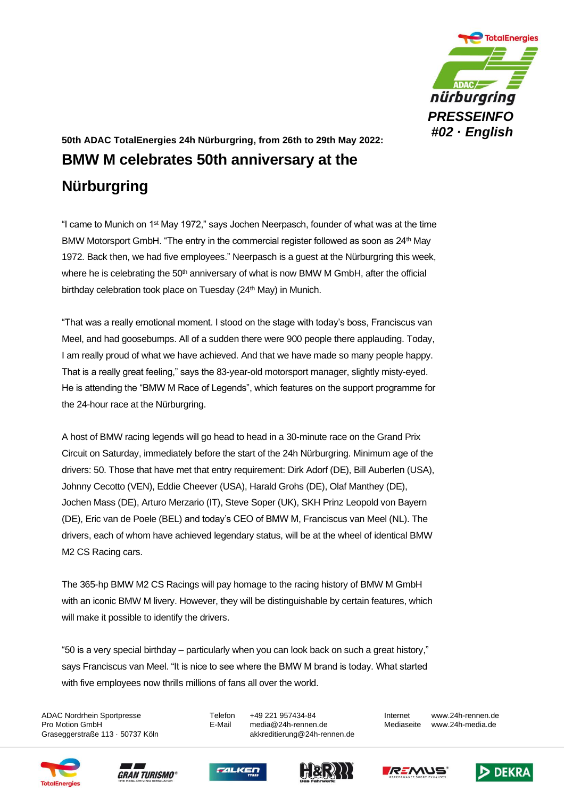

## **50th ADAC TotalEnergies 24h Nürburgring, from 26th to 29th May 2022: BMW M celebrates 50th anniversary at the Nürburgring**

"I came to Munich on 1st May 1972," says Jochen Neerpasch, founder of what was at the time BMW Motorsport GmbH. "The entry in the commercial register followed as soon as 24<sup>th</sup> May 1972. Back then, we had five employees." Neerpasch is a guest at the Nürburgring this week, where he is celebrating the  $50<sup>th</sup>$  anniversary of what is now BMW M GmbH, after the official birthday celebration took place on Tuesday (24<sup>th</sup> May) in Munich.

"That was a really emotional moment. I stood on the stage with today's boss, Franciscus van Meel, and had goosebumps. All of a sudden there were 900 people there applauding. Today, I am really proud of what we have achieved. And that we have made so many people happy. That is a really great feeling," says the 83-year-old motorsport manager, slightly misty-eyed. He is attending the "BMW M Race of Legends", which features on the support programme for the 24-hour race at the Nürburgring.

A host of BMW racing legends will go head to head in a 30-minute race on the Grand Prix Circuit on Saturday, immediately before the start of the 24h Nürburgring. Minimum age of the drivers: 50. Those that have met that entry requirement: Dirk Adorf (DE), Bill Auberlen (USA), Johnny Cecotto (VEN), Eddie Cheever (USA), Harald Grohs (DE), Olaf Manthey (DE), Jochen Mass (DE), Arturo Merzario (IT), Steve Soper (UK), SKH Prinz Leopold von Bayern (DE), Eric van de Poele (BEL) and today's CEO of BMW M, Franciscus van Meel (NL). The drivers, each of whom have achieved legendary status, will be at the wheel of identical BMW M2 CS Racing cars.

The 365-hp BMW M2 CS Racings will pay homage to the racing history of BMW M GmbH with an iconic BMW M livery. However, they will be distinguishable by certain features, which will make it possible to identify the drivers.

"50 is a very special birthday – particularly when you can look back on such a great history," says Franciscus van Meel. "It is nice to see where the BMW M brand is today. What started with five employees now thrills millions of fans all over the world.

ADAC Nordrhein Sportpresse Telefon +49 221 957434-84 Internet www.24h-rennen.de Graseggerstraße 113 · 50737 Köln auch akkreditierung@24h-rennen.de

Pro Motion GmbH E-Mail media@24h-rennen.de Mediaseite www.24h-media.de